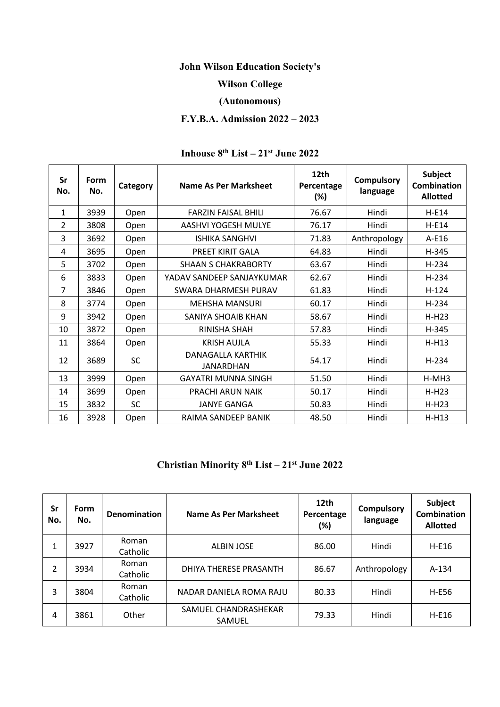### **John Wilson Education Society's**

# **Wilson College**

## **(Autonomous)**

# **F.Y.B.A. Admission 2022 – 2023**

#### **Sr No. Form No. Category Name As Per Marksheet 12th Percentage (%) Compulsory language Subject Combination Allotted** 1 | 3939 | Open | FARZIN FAISAL BHILI | 76.67 | Hindi | H-E14 2 3808 | Open | AASHVI YOGESH MULYE | 76.17 | Hindi | H-E14 3 3692 Open ISHIKA SANGHVI 71.83 Anthropology A-E16 4 | 3695 | Open | PREET KIRIT GALA | 64.83 | Hindi | H-345 5 3702 | Open | SHAAN S CHAKRABORTY | 63.67 | Hindi | H-234 6 | 3833 | Open | YADAV SANDEEP SANJAYKUMAR | 62.67 | Hindi | H-234 7 3846 | Open | SWARA DHARMESH PURAV | 61.83 | Hindi | H-124 8 3774 | Open | MEHSHA MANSURI | 60.17 | Hindi | H-234 9 3942 Open SANIYA SHOAIB KHAN | 58.67 | Hindi | H-H23 10 3872 Open RINISHA SHAH | 57.83 | Hindi | H-345 11 | 3864 | Open | KRISH AUJLA | 55.33 | Hindi | H-H13 12 3689 SC DANAGALLA KARTHIK JANARDHAN 54.17 Hindi H-234 13 | 3999 | Open | GAYATRI MUNNA SINGH | 51.50 | Hindi | H-MH3 14 | 3699 | Open | PRACHI ARUN NAIK | 50.17 | Hindi | H-H23 15 3832 SC JANYE GANGA | 50.83 Hindi | H-H23 16 3928 Open RAIMA SANDEEP BANIK | 48.50 | Hindi | H-H13

# **Inhouse 8th List – 21st June 2022**

# **Christian Minority 8th List – 21st June 2022**

| Sr<br>No. | Form<br>No. | <b>Denomination</b> | Name As Per Marksheet          | 12th<br>Percentage<br>(%) | <b>Compulsory</b><br>language | <b>Subject</b><br><b>Combination</b><br><b>Allotted</b> |
|-----------|-------------|---------------------|--------------------------------|---------------------------|-------------------------------|---------------------------------------------------------|
| 1         | 3927        | Roman<br>Catholic   | <b>ALBIN JOSE</b>              | 86.00                     | Hindi                         | $H-E16$                                                 |
| 2         | 3934        | Roman<br>Catholic   | DHIYA THERESE PRASANTH         | 86.67                     | Anthropology                  | $A-134$                                                 |
| 3         | 3804        | Roman<br>Catholic   | NADAR DANIELA ROMA RAJU        | 80.33                     | Hindi                         | H-E56                                                   |
| 4         | 3861        | Other               | SAMUEL CHANDRASHEKAR<br>SAMUEL | 79.33                     | Hindi                         | $H-E16$                                                 |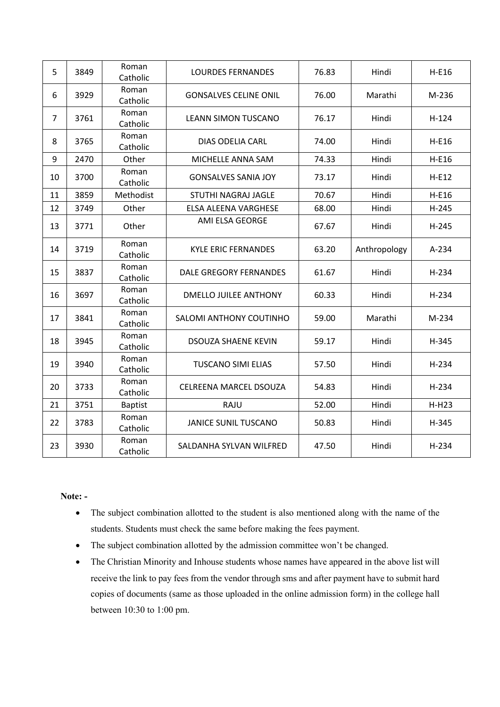| 5              | 3849 | Roman<br>Catholic | <b>LOURDES FERNANDES</b>      | 76.83 | Hindi        | $H-E16$ |
|----------------|------|-------------------|-------------------------------|-------|--------------|---------|
| 6              | 3929 | Roman<br>Catholic | <b>GONSALVES CELINE ONIL</b>  | 76.00 | Marathi      | M-236   |
| $\overline{7}$ | 3761 | Roman<br>Catholic | <b>LEANN SIMON TUSCANO</b>    | 76.17 | Hindi        | $H-124$ |
| 8              | 3765 | Roman<br>Catholic | <b>DIAS ODELIA CARL</b>       | 74.00 | Hindi        | $H-E16$ |
| 9              | 2470 | Other             | MICHELLE ANNA SAM             | 74.33 | Hindi        | $H-E16$ |
| 10             | 3700 | Roman<br>Catholic | <b>GONSALVES SANIA JOY</b>    | 73.17 | Hindi        | $H-E12$ |
| 11             | 3859 | Methodist         | STUTHI NAGRAJ JAGLE           | 70.67 | Hindi        | $H-E16$ |
| 12             | 3749 | Other             | <b>ELSA ALEENA VARGHESE</b>   | 68.00 | Hindi        | $H-245$ |
| 13             | 3771 | Other             | AMI ELSA GEORGE               | 67.67 | Hindi        | $H-245$ |
| 14             | 3719 | Roman<br>Catholic | <b>KYLE ERIC FERNANDES</b>    | 63.20 | Anthropology | A-234   |
| 15             | 3837 | Roman<br>Catholic | <b>DALE GREGORY FERNANDES</b> | 61.67 | Hindi        | H-234   |
| 16             | 3697 | Roman<br>Catholic | DMELLO JUILEE ANTHONY         | 60.33 | Hindi        | H-234   |
| 17             | 3841 | Roman<br>Catholic | SALOMI ANTHONY COUTINHO       | 59.00 | Marathi      | M-234   |
| 18             | 3945 | Roman<br>Catholic | <b>DSOUZA SHAENE KEVIN</b>    | 59.17 | Hindi        | H-345   |
| 19             | 3940 | Roman<br>Catholic | <b>TUSCANO SIMI ELIAS</b>     | 57.50 | Hindi        | $H-234$ |
| 20             | 3733 | Roman<br>Catholic | <b>CELREENA MARCEL DSOUZA</b> | 54.83 | Hindi        | $H-234$ |
| 21             | 3751 | <b>Baptist</b>    | RAJU                          | 52.00 | Hindi        | $H-H23$ |
| 22             | 3783 | Roman<br>Catholic | <b>JANICE SUNIL TUSCANO</b>   | 50.83 | Hindi        | H-345   |
| 23             | 3930 | Roman<br>Catholic | SALDANHA SYLVAN WILFRED       | 47.50 | Hindi        | H-234   |

## **Note: -**

- The subject combination allotted to the student is also mentioned along with the name of the students. Students must check the same before making the fees payment.
- The subject combination allotted by the admission committee won't be changed.
- The Christian Minority and Inhouse students whose names have appeared in the above list will receive the link to pay fees from the vendor through sms and after payment have to submit hard copies of documents (same as those uploaded in the online admission form) in the college hall between 10:30 to 1:00 pm.